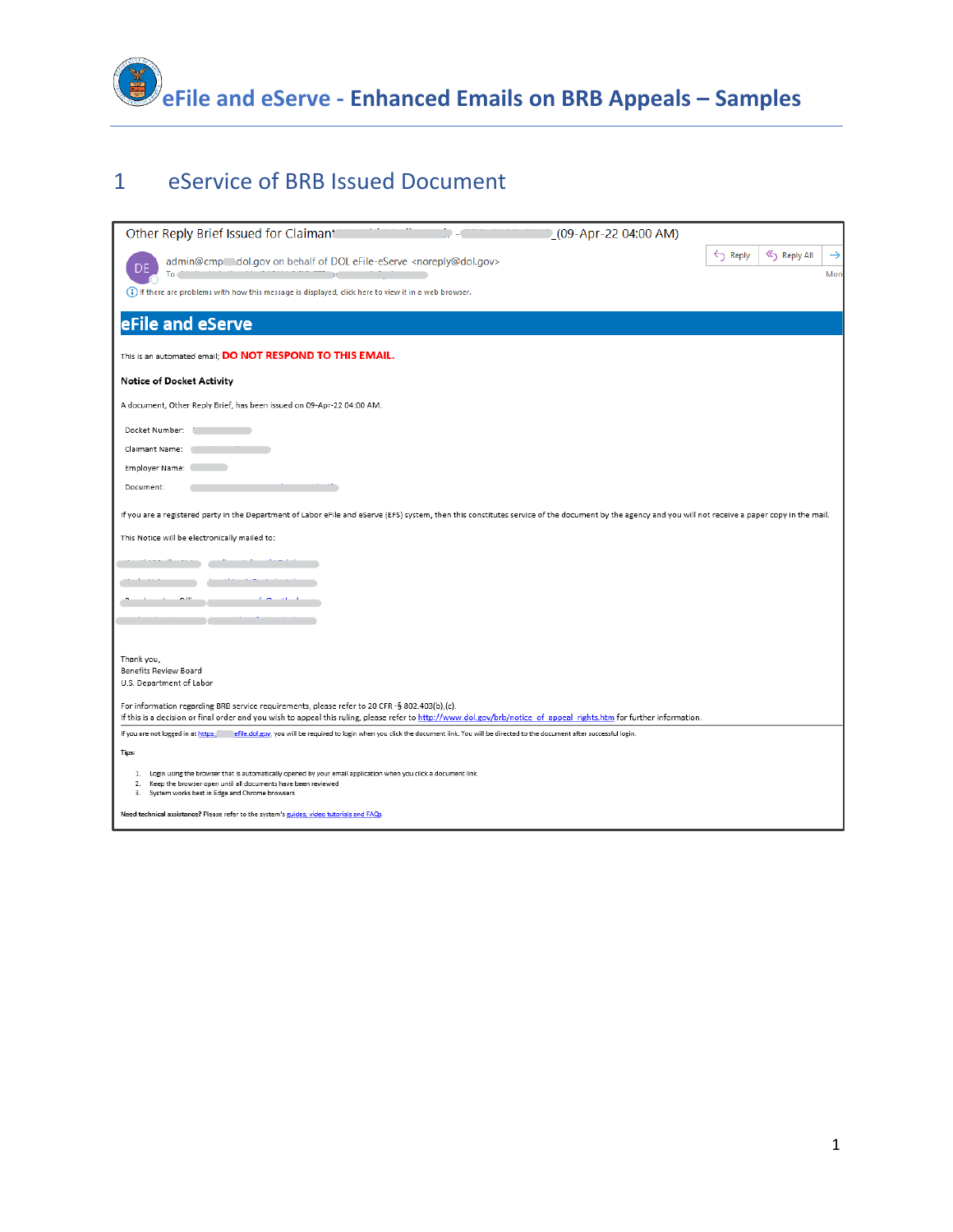

# eService of BRB Issued Document

| Other Reply Brief Issued for Claimant                                                                                                                                                                                                                                 | $(09 - Apr - 22 04:00 AM)$ |                                   |
|-----------------------------------------------------------------------------------------------------------------------------------------------------------------------------------------------------------------------------------------------------------------------|----------------------------|-----------------------------------|
| admin@cmp' dol.gov on behalf of DOL eFile-eServe <noreply@dol.gov><br/>To</noreply@dol.gov>                                                                                                                                                                           | $\leftarrow$ Reply         | Reply All<br>$\rightarrow$<br>Mon |
| (i) If there are problems with how this message is displayed, click here to view it in a web browser.                                                                                                                                                                 |                            |                                   |
| eFile and eServe                                                                                                                                                                                                                                                      |                            |                                   |
| This is an automated email; <b>DO NOT RESPOND TO THIS EMAIL.</b>                                                                                                                                                                                                      |                            |                                   |
| <b>Notice of Docket Activity</b>                                                                                                                                                                                                                                      |                            |                                   |
| A document, Other Reply Brief, has been issued on 09-Apr-22 04:00 AM.                                                                                                                                                                                                 |                            |                                   |
| Docket Number:                                                                                                                                                                                                                                                        |                            |                                   |
| Claimant Name:                                                                                                                                                                                                                                                        |                            |                                   |
| Employer Name:                                                                                                                                                                                                                                                        |                            |                                   |
| Document:                                                                                                                                                                                                                                                             |                            |                                   |
| If you are a registered party in the Department of Labor eFile and eServe (EFS) system, then this constitutes service of the document by the agency and you will not receive a paper copy in the mail.                                                                |                            |                                   |
| This Notice will be electronically mailed to:                                                                                                                                                                                                                         |                            |                                   |
|                                                                                                                                                                                                                                                                       |                            |                                   |
|                                                                                                                                                                                                                                                                       |                            |                                   |
|                                                                                                                                                                                                                                                                       |                            |                                   |
|                                                                                                                                                                                                                                                                       |                            |                                   |
|                                                                                                                                                                                                                                                                       |                            |                                   |
| Thank you,<br>Benefits Review Board                                                                                                                                                                                                                                   |                            |                                   |
| U.S. Department of Labor                                                                                                                                                                                                                                              |                            |                                   |
| For information regarding BRB service requirements, please refer to 20 CFR -§ 802.403(b),(c).<br>If this is a decision or final order and you wish to appeal this ruling, please refer to http://www.dol.gov/brb/notice of appeal rights.htm for further information. |                            |                                   |
| If you are not logged in at https: efile.dol.gov, you will be required to login when you click the document link. You will be directed to the document after successful login.                                                                                        |                            |                                   |
| Tips:                                                                                                                                                                                                                                                                 |                            |                                   |
| 1. Login using the browser that is automatically opened by your email application when you click a document link<br>2.<br>Keep the browser open until all documents have been reviewed<br>3. System works best in Edge and Chrome browsers                            |                            |                                   |
| Need technical assistance? Please refer to the system's guides, video tutorials and FAQs.                                                                                                                                                                             |                            |                                   |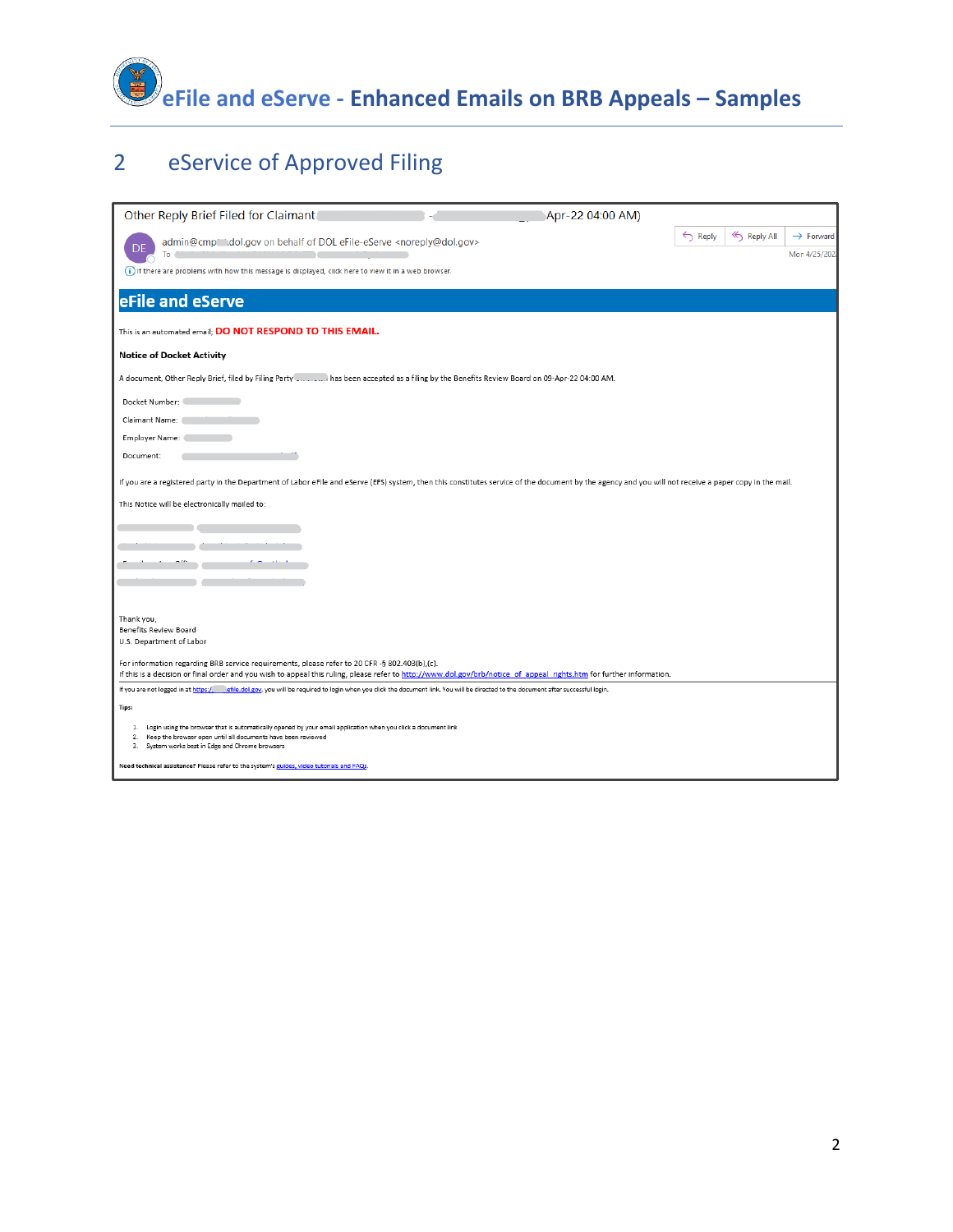

| $\overline{2}$ |  | eService of Approved Filing |  |
|----------------|--|-----------------------------|--|
|----------------|--|-----------------------------|--|

| Other Reply Brief Filed for Claimant<br>Apr-22 04:00 AM)                                                                                                                                                                                                              |                    |           |                       |
|-----------------------------------------------------------------------------------------------------------------------------------------------------------------------------------------------------------------------------------------------------------------------|--------------------|-----------|-----------------------|
| admin@cmp" dol.gov on behalf of DOL eFile-eServe <noreply@dol.gov></noreply@dol.gov>                                                                                                                                                                                  | $\leftarrow$ Reply | Reply All | $\rightarrow$ Forward |
| To                                                                                                                                                                                                                                                                    |                    |           | Mon 4/25/202          |
| (i) If there are problems with how this message is displayed, click here to view it in a web browser.                                                                                                                                                                 |                    |           |                       |
| eFile and eServe                                                                                                                                                                                                                                                      |                    |           |                       |
| This is an automated email; DO NOT RESPOND TO THIS EMAIL.                                                                                                                                                                                                             |                    |           |                       |
| <b>Notice of Docket Activity</b>                                                                                                                                                                                                                                      |                    |           |                       |
| A document, Other Reply Brief, filed by Filing Party  has been accepted as a filing by the Benefits Review Board on 09-Apr-22 04:00 AM.                                                                                                                               |                    |           |                       |
| Docket Number:                                                                                                                                                                                                                                                        |                    |           |                       |
| Claimant Name:                                                                                                                                                                                                                                                        |                    |           |                       |
| Employer Name:                                                                                                                                                                                                                                                        |                    |           |                       |
| Document:                                                                                                                                                                                                                                                             |                    |           |                       |
| If you are a registered party in the Department of Labor eFile and eServe (EFS) system, then this constitutes service of the document by the agency and you will not receive a paper copy in the mail.                                                                |                    |           |                       |
| This Notice will be electronically mailed to:                                                                                                                                                                                                                         |                    |           |                       |
|                                                                                                                                                                                                                                                                       |                    |           |                       |
|                                                                                                                                                                                                                                                                       |                    |           |                       |
|                                                                                                                                                                                                                                                                       |                    |           |                       |
|                                                                                                                                                                                                                                                                       |                    |           |                       |
|                                                                                                                                                                                                                                                                       |                    |           |                       |
| Thank you,                                                                                                                                                                                                                                                            |                    |           |                       |
| Benefits Review Board                                                                                                                                                                                                                                                 |                    |           |                       |
| U.S. Department of Labor                                                                                                                                                                                                                                              |                    |           |                       |
| For information regarding BRB service requirements, please refer to 20 CFR -§ 802.403(b),(c).<br>If this is a decision or final order and you wish to appeal this ruling, please refer to http://www.dol.gov/brb/notice of appeal rights.htm for further information. |                    |           |                       |
| If you are not logged in at https:/ efile.dol.gov, you will be required to login when you click the document link. You will be directed to the document after successful login.                                                                                       |                    |           |                       |
| Tips:                                                                                                                                                                                                                                                                 |                    |           |                       |
| Login using the browser that is automatically opened by your email application when you click a document link<br>1.<br>2.<br>Keep the browser open until all documents have been reviewed<br>3. System works best in Edge and Chrome browsers                         |                    |           |                       |
| Need technical assistance? Please refer to the system's guides, video tutorials and FAQs.                                                                                                                                                                             |                    |           |                       |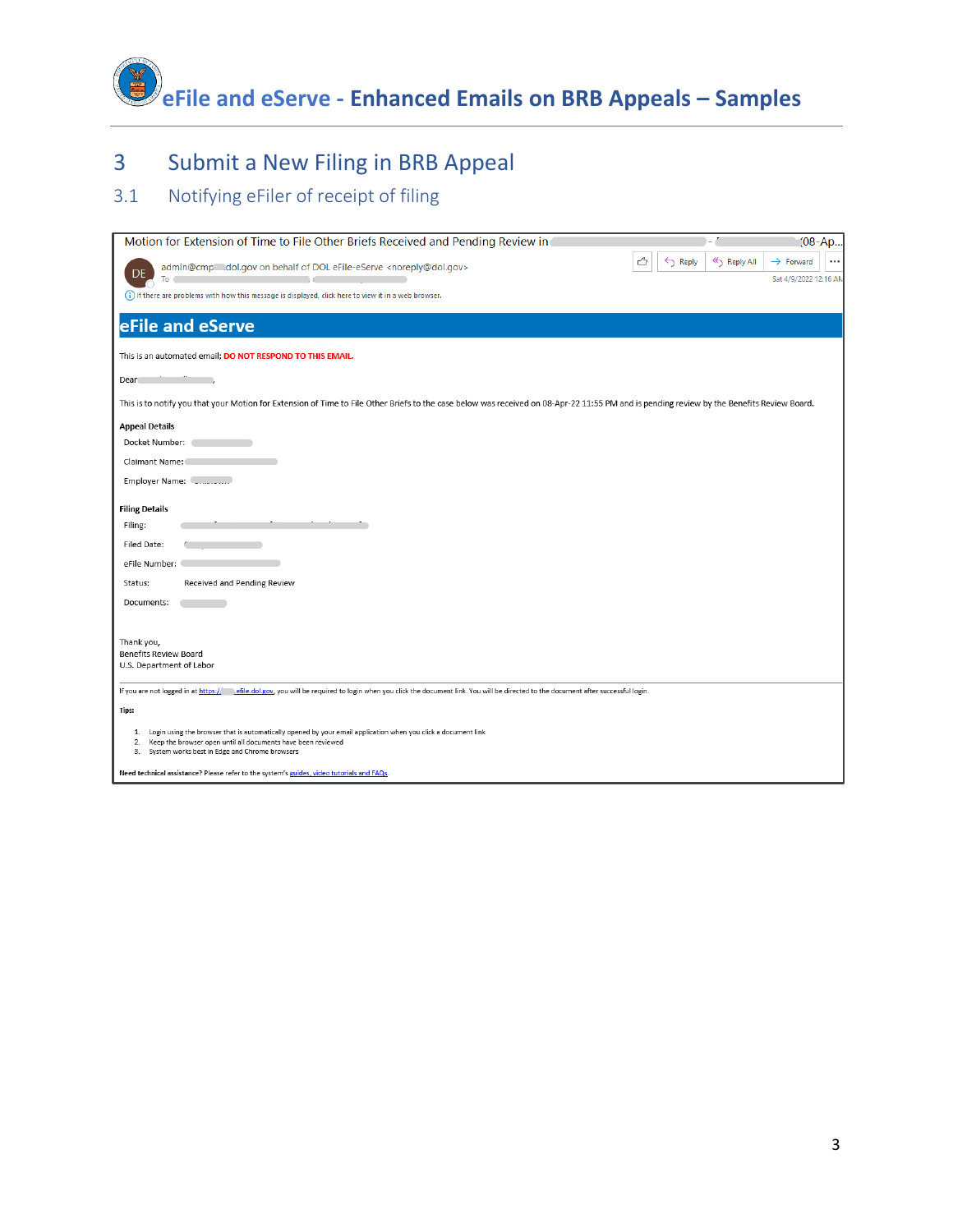**eFile and eServe - Enhanced Emails on BRB Appeals – Samples**

# 3 Submit a New Filing in BRB Appeal

## 3.1 Notifying eFiler of receipt of filing

| Motion for Extension of Time to File Other Briefs Received and Pending Review in                                                                                                                                                           |                                        | $(08 - Ap)$                                    |
|--------------------------------------------------------------------------------------------------------------------------------------------------------------------------------------------------------------------------------------------|----------------------------------------|------------------------------------------------|
| admin@cmp dol.gov on behalf of DOL eFile-eServe <noreply@dol.gov><br/>To</noreply@dol.gov>                                                                                                                                                 | ᠿ<br>« Reply All<br>$\leftarrow$ Reply | $\rightarrow$ Forward<br>Sat 4/9/2022 12:16 AM |
| (i) If there are problems with how this message is displayed, click here to view it in a web browser.                                                                                                                                      |                                        |                                                |
| eFile and eServe                                                                                                                                                                                                                           |                                        |                                                |
| This is an automated email; DO NOT RESPOND TO THIS EMAIL.                                                                                                                                                                                  |                                        |                                                |
| Dear                                                                                                                                                                                                                                       |                                        |                                                |
| This is to notify you that your Motion for Extension of Time to File Other Briefs to the case below was received on 08-Apr-22 11:55 PM and is pending review by the Benefits Review Board.                                                 |                                        |                                                |
| <b>Appeal Details</b><br>Docket Number:                                                                                                                                                                                                    |                                        |                                                |
| Claimant Name:                                                                                                                                                                                                                             |                                        |                                                |
| Employer Name: [2000]                                                                                                                                                                                                                      |                                        |                                                |
| <b>Filing Details</b>                                                                                                                                                                                                                      |                                        |                                                |
| Filing:                                                                                                                                                                                                                                    |                                        |                                                |
| Filed Date:                                                                                                                                                                                                                                |                                        |                                                |
| eFile Number:                                                                                                                                                                                                                              |                                        |                                                |
| Received and Pending Review<br>Status:                                                                                                                                                                                                     |                                        |                                                |
| Documents:                                                                                                                                                                                                                                 |                                        |                                                |
|                                                                                                                                                                                                                                            |                                        |                                                |
| Thank you,<br>Benefits Review Board<br>U.S. Department of Labor                                                                                                                                                                            |                                        |                                                |
| If you are not logged in at https:// efile.dol.gov, you will be required to login when you click the document link. You will be directed to the document after successful login.                                                           |                                        |                                                |
| Tips:                                                                                                                                                                                                                                      |                                        |                                                |
| Login using the browser that is automatically opened by your email application when you click a document link<br>1.<br>2. Keep the browser open until all documents have been reviewed<br>3. System works best in Edge and Chrome browsers |                                        |                                                |
| Need technical assistance? Please refer to the system's guides, video tutorials and FAQs.                                                                                                                                                  |                                        |                                                |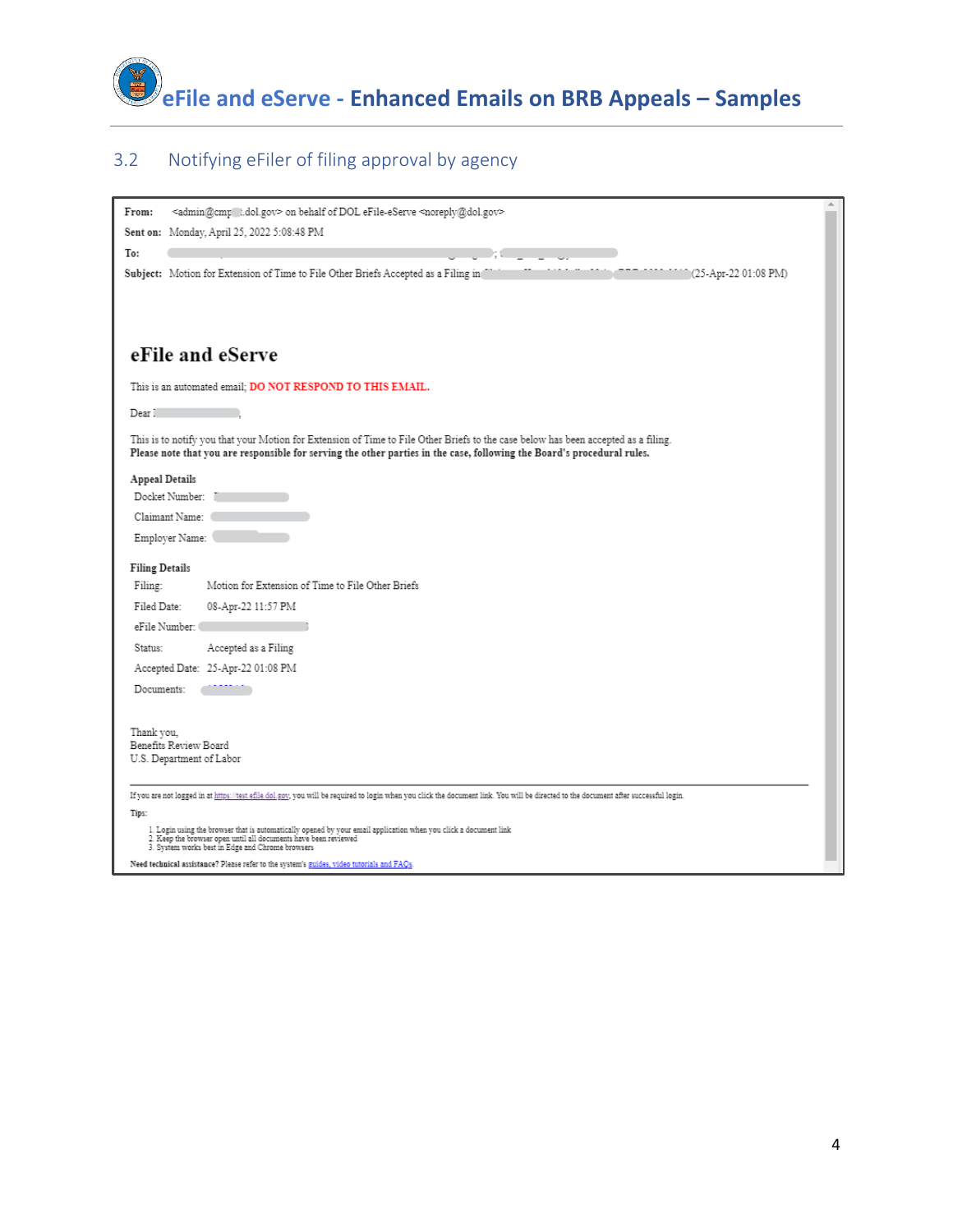

## 3.2 Notifying eFiler of filing approval by agency

| <admin@cmp_t.dol.gov> on behalf of DOL eFile-eServe <noreply@dol.gov><br/>From:<br/>Sent on: Monday, April 25, 2022 5:08:48 PM<br/>To:<br/>Subject: Motion for Extension of Time to File Other Briefs Accepted as a Filing in<br/>(25-Apr-22 01:08 PM)</noreply@dol.gov></admin@cmp_t.dol.gov> |
|------------------------------------------------------------------------------------------------------------------------------------------------------------------------------------------------------------------------------------------------------------------------------------------------|
| eFile and eServe                                                                                                                                                                                                                                                                               |
| This is an automated email; DO NOT RESPOND TO THIS EMAIL.                                                                                                                                                                                                                                      |
| Dear !                                                                                                                                                                                                                                                                                         |
| This is to notify you that your Motion for Extension of Time to File Other Briefs to the case below has been accepted as a filing.<br>Please note that you are responsible for serving the other parties in the case, following the Board's procedural rules.                                  |
| Appeal Details                                                                                                                                                                                                                                                                                 |
| Docket Number:                                                                                                                                                                                                                                                                                 |
| Claimant Name:                                                                                                                                                                                                                                                                                 |
| Employer Name:                                                                                                                                                                                                                                                                                 |
| <b>Filing Details</b>                                                                                                                                                                                                                                                                          |
| Motion for Extension of Time to File Other Briefs<br>Filing:                                                                                                                                                                                                                                   |
| Filed Date:<br>08-Apr-22 11:57 PM                                                                                                                                                                                                                                                              |
| eFile Number:                                                                                                                                                                                                                                                                                  |
| Accepted as a Filing<br>Status:                                                                                                                                                                                                                                                                |
| Accepted Date: 25-Apr-22 01:08 PM                                                                                                                                                                                                                                                              |
| Documents:                                                                                                                                                                                                                                                                                     |
| Thank vou.<br>Benefits Review Board<br>U.S. Department of Labor                                                                                                                                                                                                                                |
| If you are not logged in at https://test.efile.dol.gov, you will be required to login when you click the document link. You will be directed to the document after successful login.                                                                                                           |
| Tips:                                                                                                                                                                                                                                                                                          |
| $1.$ Login using the browser that is automatically opened by your email application when you click a document link $2.$ Keep the browser open until all documents have been reviewed<br>3. System works best in Edge and Chrome browsers                                                       |
| Need technical assistance? Please refer to the system's guides, video tutorials and FAQs.                                                                                                                                                                                                      |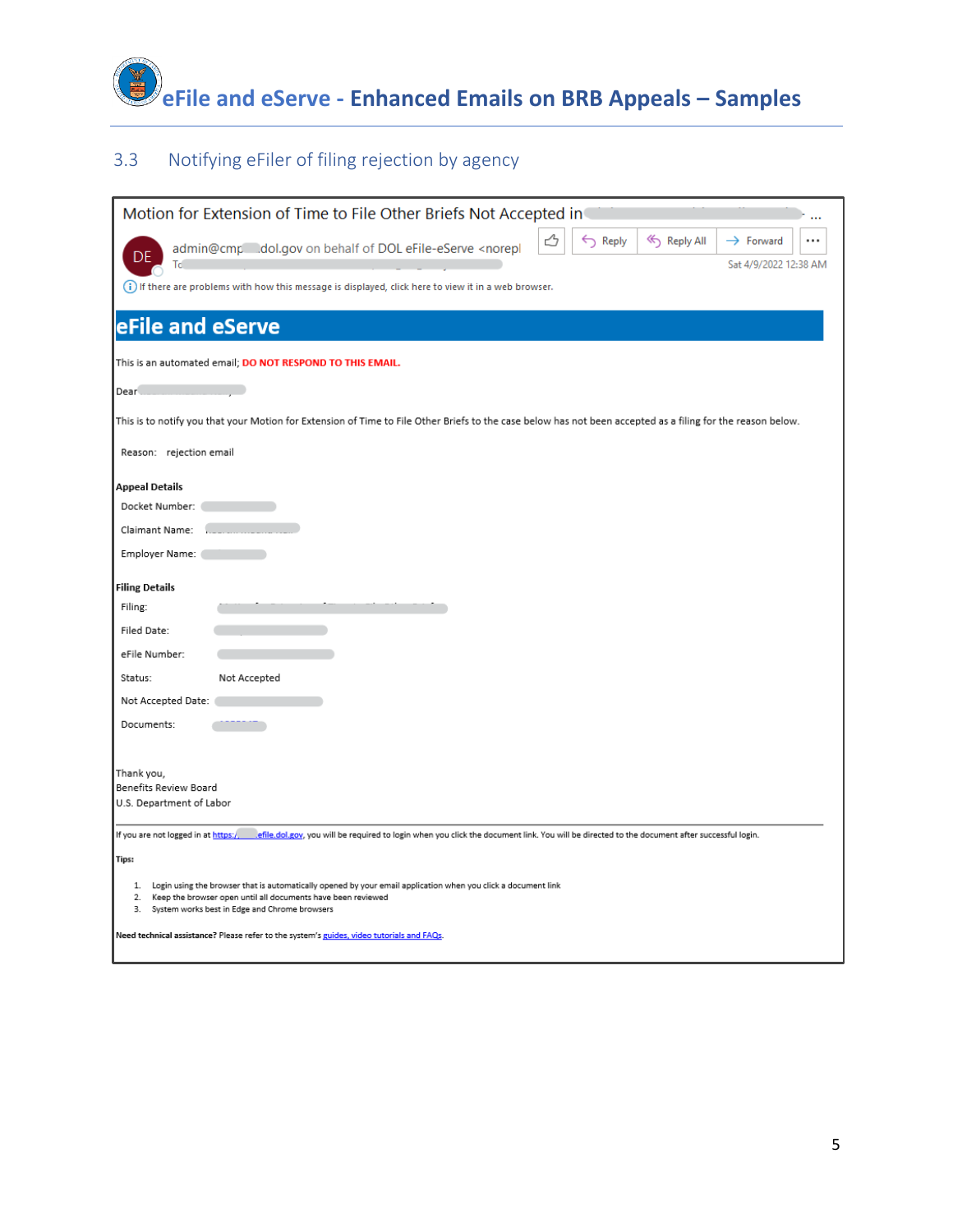

## 3.3 Notifying eFiler of filing rejection by agency

| Motion for Extension of Time to File Other Briefs Not Accepted in                                                                                                                                                                             |  |  |  |
|-----------------------------------------------------------------------------------------------------------------------------------------------------------------------------------------------------------------------------------------------|--|--|--|
| $\leftarrow$ Reply<br><< Reply All<br>$\rightarrow$ Forward<br><br>admin@cmp__dol.gov on behalf of DOL eFile-eServe <norepl<br>DF<br/>Тc<br/>Sat 4/9/2022 12:38 AM</norepl<br>                                                                |  |  |  |
| (i) If there are problems with how this message is displayed, click here to view it in a web browser.                                                                                                                                         |  |  |  |
| eFile and eServe                                                                                                                                                                                                                              |  |  |  |
| This is an automated email; DO NOT RESPOND TO THIS EMAIL.                                                                                                                                                                                     |  |  |  |
| Dear                                                                                                                                                                                                                                          |  |  |  |
| This is to notify you that your Motion for Extension of Time to File Other Briefs to the case below has not been accepted as a filing for the reason below.                                                                                   |  |  |  |
| Reason: rejection email                                                                                                                                                                                                                       |  |  |  |
| <b>Appeal Details</b>                                                                                                                                                                                                                         |  |  |  |
| Docket Number:                                                                                                                                                                                                                                |  |  |  |
| Claimant Name:                                                                                                                                                                                                                                |  |  |  |
| Employer Name:                                                                                                                                                                                                                                |  |  |  |
| <b>Filing Details</b>                                                                                                                                                                                                                         |  |  |  |
| Filing:                                                                                                                                                                                                                                       |  |  |  |
| Filed Date:                                                                                                                                                                                                                                   |  |  |  |
| eFile Number:                                                                                                                                                                                                                                 |  |  |  |
| Status:<br>Not Accepted                                                                                                                                                                                                                       |  |  |  |
| Not Accepted Date:                                                                                                                                                                                                                            |  |  |  |
| Documents:                                                                                                                                                                                                                                    |  |  |  |
|                                                                                                                                                                                                                                               |  |  |  |
| Thank you,                                                                                                                                                                                                                                    |  |  |  |
| Benefits Review Board<br>U.S. Department of Labor                                                                                                                                                                                             |  |  |  |
|                                                                                                                                                                                                                                               |  |  |  |
| If you are not logged in at https:/<br>lefile.dol.gov, you will be required to login when you click the document link. You will be directed to the document after successful login.                                                           |  |  |  |
| Tips:                                                                                                                                                                                                                                         |  |  |  |
| 1. Login using the browser that is automatically opened by your email application when you click a document link<br>2.<br>Keep the browser open until all documents have been reviewed<br>3.<br>System works best in Edge and Chrome browsers |  |  |  |
| Need technical assistance? Please refer to the system's guides, video tutorials and FAQs.                                                                                                                                                     |  |  |  |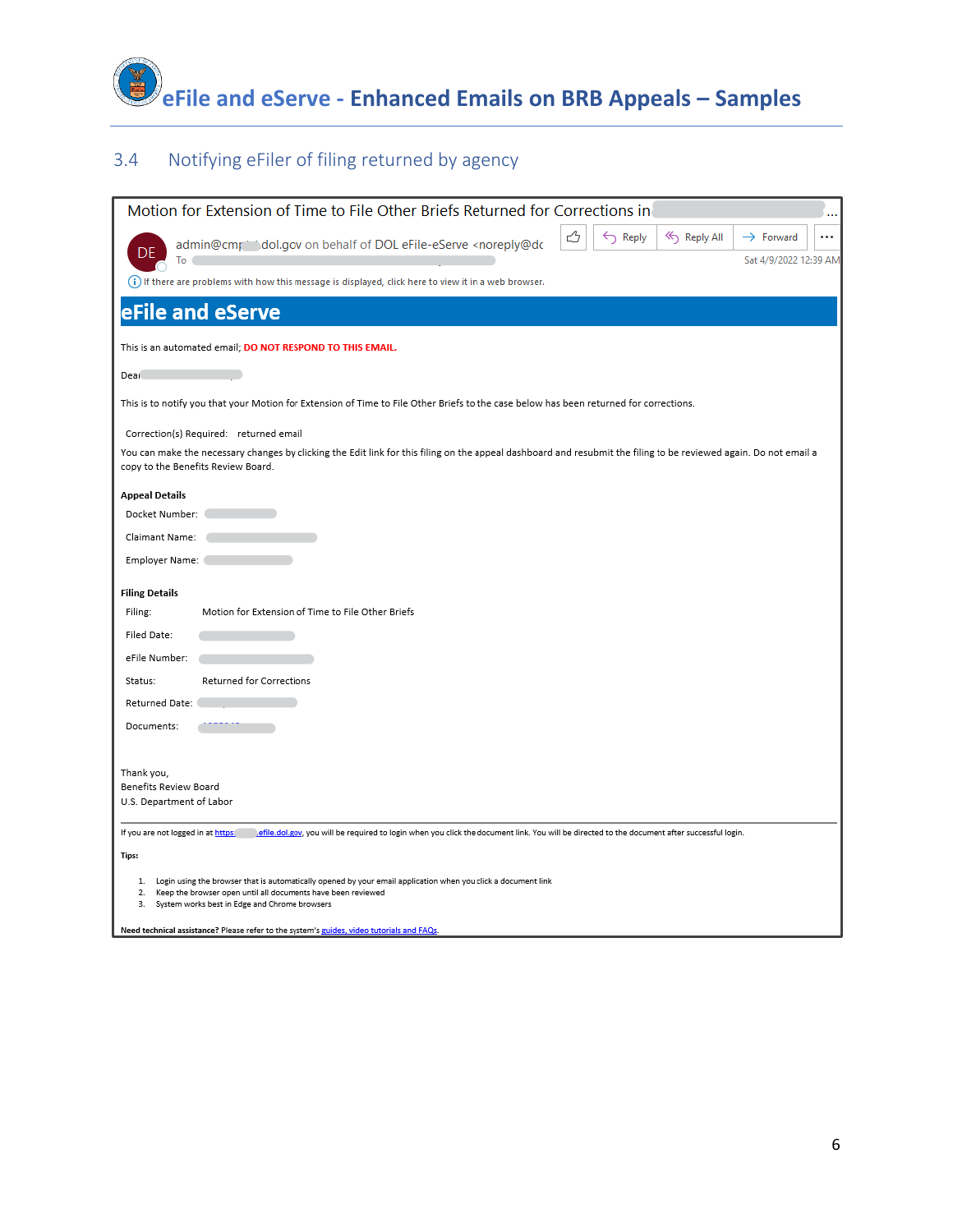

## 3.4 Notifying eFiler of filing returned by agency

| Motion for Extension of Time to File Other Briefs Returned for Corrections in                                                                                                                           |
|---------------------------------------------------------------------------------------------------------------------------------------------------------------------------------------------------------|
| $\leftarrow$ Reply<br>Reply All<br>$\rightarrow$ Forward<br><br>admin@cmr indol.gov on behalf of DOL eFile-eServe <noreply@dc<br>Sat 4/9/2022 12:39 AM<br/>To</noreply@dc<br>                           |
| (i) If there are problems with how this message is displayed, click here to view it in a web browser.                                                                                                   |
| eFile and eServe                                                                                                                                                                                        |
| This is an automated email; DO NOT RESPOND TO THIS EMAIL.                                                                                                                                               |
| Dear                                                                                                                                                                                                    |
| This is to notify you that your Motion for Extension of Time to File Other Briefs to the case below has been returned for corrections.                                                                  |
| Correction(s) Required: returned email                                                                                                                                                                  |
| You can make the necessary changes by clicking the Edit link for this filing on the appeal dashboard and resubmit the filing to be reviewed again. Do not email a<br>copy to the Benefits Review Board. |
| <b>Appeal Details</b>                                                                                                                                                                                   |
| Docket Number:                                                                                                                                                                                          |
| Claimant Name:                                                                                                                                                                                          |
| Employer Name:                                                                                                                                                                                          |
| <b>Filing Details</b>                                                                                                                                                                                   |
| Motion for Extension of Time to File Other Briefs<br>Filing:                                                                                                                                            |
| Filed Date:                                                                                                                                                                                             |
| eFile Number:                                                                                                                                                                                           |
| Returned for Corrections<br>Status:                                                                                                                                                                     |
| Returned Date:                                                                                                                                                                                          |
| Documents:                                                                                                                                                                                              |
|                                                                                                                                                                                                         |
| Thank you,                                                                                                                                                                                              |
| Benefits Review Board<br>U.S. Department of Labor                                                                                                                                                       |
|                                                                                                                                                                                                         |
| If you are not logged in at https:<br>efile.dol.gov, you will be required to login when you click the document link. You will be directed to the document after successful login.                       |
| Tips:                                                                                                                                                                                                   |
| 1. Login using the browser that is automatically opened by your email application when you click a document link<br>2.<br>Keep the browser open until all documents have been reviewed                  |
| System works best in Edge and Chrome browsers<br>З.                                                                                                                                                     |
| Need technical assistance? Please refer to the system's guides, video tutorials and FAQs.                                                                                                               |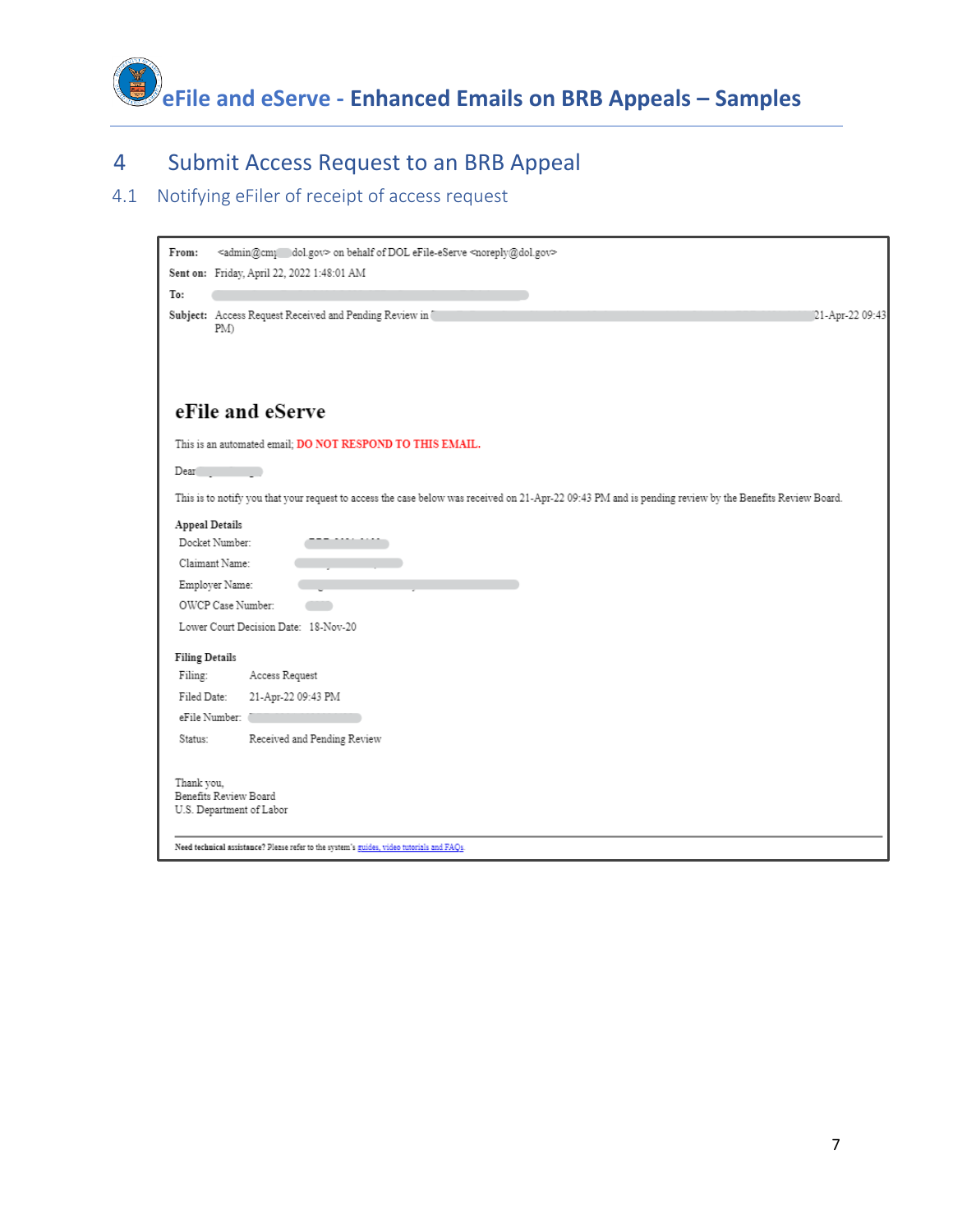

# 4 Submit Access Request to an BRB Appeal

## 4.1 Notifying eFiler of receipt of access request

| From:                 | <admin@cm; dol.gov=""> on behalf of DOL eFile-eServe <noreply@dol.gov></noreply@dol.gov></admin@cm;>                                                    |  |
|-----------------------|---------------------------------------------------------------------------------------------------------------------------------------------------------|--|
|                       | Sent on: Friday, April 22, 2022 1:48:01 AM                                                                                                              |  |
| To:                   |                                                                                                                                                         |  |
|                       | Subject: Access Request Received and Pending Review in<br>[21-Apr-22 09:43<br>PM)                                                                       |  |
|                       |                                                                                                                                                         |  |
|                       |                                                                                                                                                         |  |
|                       | eFile and eServe                                                                                                                                        |  |
|                       | This is an automated email; DO NOT RESPOND TO THIS EMAIL.                                                                                               |  |
| Dear                  |                                                                                                                                                         |  |
|                       | This is to notify you that your request to access the case below was received on 21-Apr-22 09:43 PM and is pending review by the Benefits Review Board. |  |
| Appeal Details        |                                                                                                                                                         |  |
|                       | Docket Number:                                                                                                                                          |  |
|                       | Claimant Name:                                                                                                                                          |  |
|                       | Employer Name:                                                                                                                                          |  |
|                       | OWCP Case Number:                                                                                                                                       |  |
|                       | Lower Court Decision Date: 18-Nov-20                                                                                                                    |  |
| <b>Filing Details</b> |                                                                                                                                                         |  |
| Filing:               | Access Request                                                                                                                                          |  |
| Filed Date:           | 21-Apr-22 09:43 PM                                                                                                                                      |  |
|                       | eFile Number:                                                                                                                                           |  |
| Status:               | Received and Pending Review                                                                                                                             |  |
| Thank you,            |                                                                                                                                                         |  |
| Benefits Review Board |                                                                                                                                                         |  |
|                       | U.S. Department of Labor                                                                                                                                |  |
|                       |                                                                                                                                                         |  |
|                       | Need technical assistance? Please refer to the system's guides, video tutorials and FAQs.                                                               |  |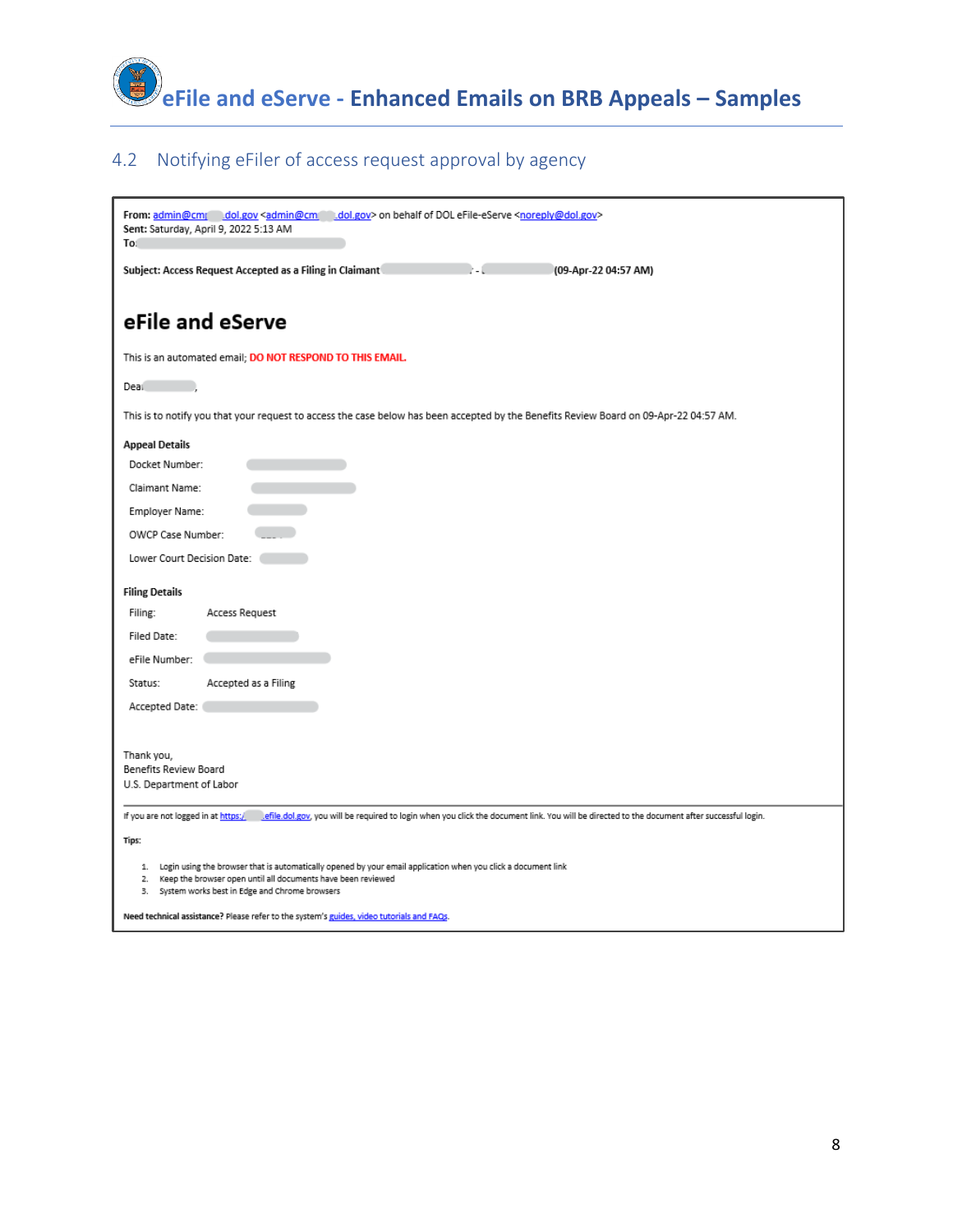

## 4.2 Notifying eFiler of access request approval by agency

| From: admin@cmr dol.gov <admin@cm dol.gov=""> on behalf of DOL eFile-eServe <noreply@dol.gov><br/>Sent: Saturday, April 9, 2022 5:13 AM<br/>To:</noreply@dol.gov></admin@cm>                                                            |
|-----------------------------------------------------------------------------------------------------------------------------------------------------------------------------------------------------------------------------------------|
| Subject: Access Request Accepted as a Filing in Claimant<br>(09-Apr-22 04:57 AM)                                                                                                                                                        |
| eFile and eServe                                                                                                                                                                                                                        |
| This is an automated email; DO NOT RESPOND TO THIS EMAIL.                                                                                                                                                                               |
| Deal                                                                                                                                                                                                                                    |
| This is to notify you that your request to access the case below has been accepted by the Benefits Review Board on 09-Apr-22 04:57 AM.                                                                                                  |
| <b>Appeal Details</b>                                                                                                                                                                                                                   |
| Docket Number:                                                                                                                                                                                                                          |
| Claimant Name:                                                                                                                                                                                                                          |
| Employer Name:                                                                                                                                                                                                                          |
| OWCP Case Number:                                                                                                                                                                                                                       |
| Lower Court Decision Date: (                                                                                                                                                                                                            |
| <b>Filing Details</b>                                                                                                                                                                                                                   |
| Access Request<br>Filing:                                                                                                                                                                                                               |
| Filed Date:                                                                                                                                                                                                                             |
| eFile Number:                                                                                                                                                                                                                           |
| Status:<br>Accepted as a Filing                                                                                                                                                                                                         |
| Accepted Date:                                                                                                                                                                                                                          |
|                                                                                                                                                                                                                                         |
| Thank you,                                                                                                                                                                                                                              |
| Benefits Review Board<br>U.S. Department of Labor                                                                                                                                                                                       |
|                                                                                                                                                                                                                                         |
| If you are not logged in at https:/<br>effile.dol.gov, you will be required to login when you click the document link. You will be directed to the document after successful login.                                                     |
| Tips:                                                                                                                                                                                                                                   |
| 1. Login using the browser that is automatically opened by your email application when you click a document link<br>2. Keep the browser open until all documents have been reviewed<br>3. System works best in Edge and Chrome browsers |
| Need technical assistance? Please refer to the system's guides, video tutorials and EAOs.                                                                                                                                               |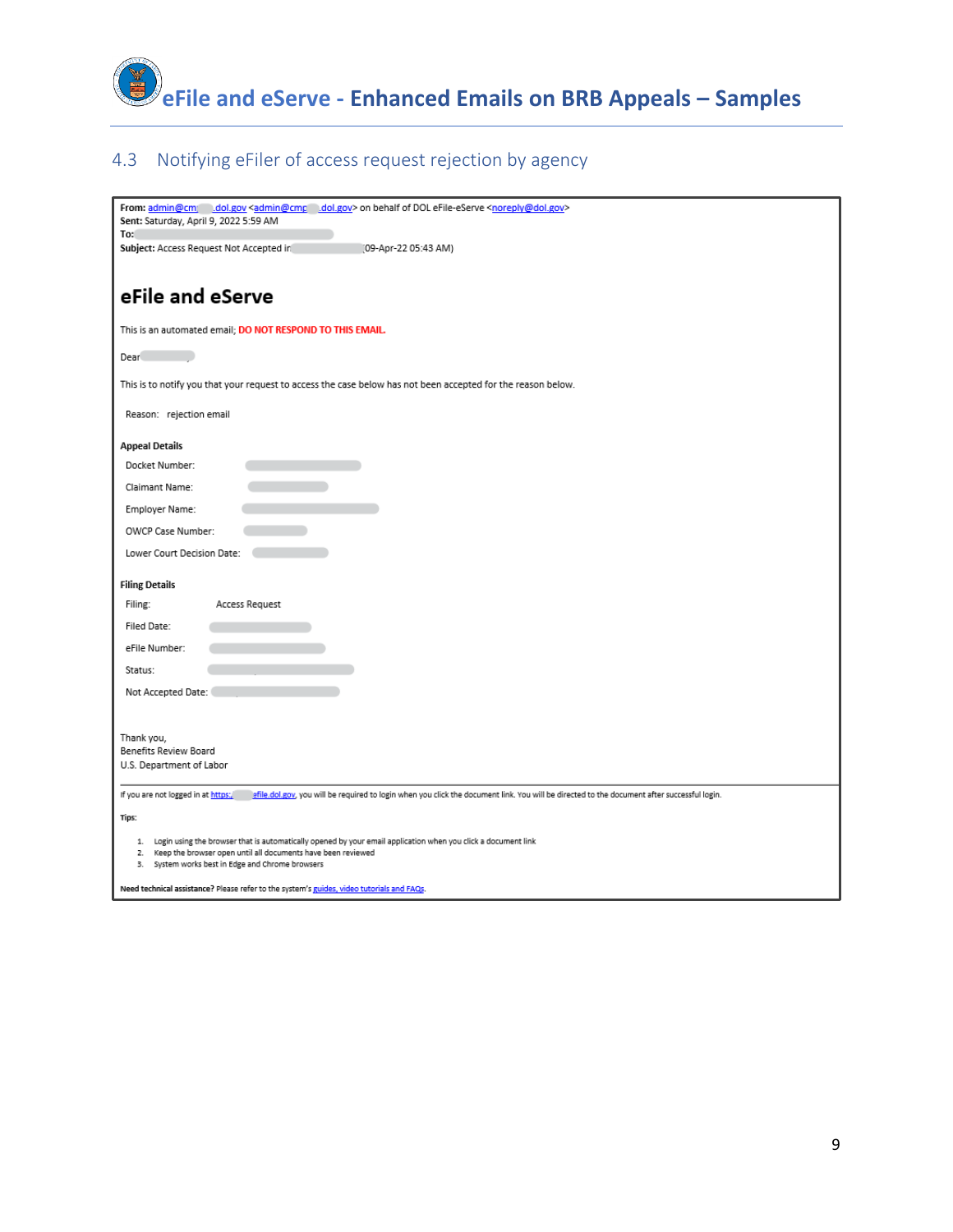

#### 4.3 Notifying eFiler of access request rejection by agency

| From: admin@cm dol.gov <admin@cmc dol.gov=""> on behalf of DOL eFile-eServe <noreply@dol.gov><br/>Sent: Saturday, April 9, 2022 5:59 AM</noreply@dol.gov></admin@cmc>             |
|-----------------------------------------------------------------------------------------------------------------------------------------------------------------------------------|
| To:                                                                                                                                                                               |
| Subject: Access Request Not Accepted in<br>(09-Apr-22 05:43 AM)                                                                                                                   |
| eFile and eServe                                                                                                                                                                  |
| This is an automated email; DO NOT RESPOND TO THIS EMAIL.                                                                                                                         |
| Dear                                                                                                                                                                              |
| This is to notify you that your request to access the case below has not been accepted for the reason below.                                                                      |
| Reason: rejection email                                                                                                                                                           |
| <b>Appeal Details</b>                                                                                                                                                             |
| Docket Number:                                                                                                                                                                    |
| Claimant Name:                                                                                                                                                                    |
| Employer Name:                                                                                                                                                                    |
| OWCP Case Number:                                                                                                                                                                 |
| Lower Court Decision Date:                                                                                                                                                        |
| <b>Filing Details</b>                                                                                                                                                             |
| Filing:<br>Access Request                                                                                                                                                         |
| Filed Date:                                                                                                                                                                       |
| eFile Number:                                                                                                                                                                     |
| Status:                                                                                                                                                                           |
| Not Accepted Date:                                                                                                                                                                |
|                                                                                                                                                                                   |
| Thank you,<br>Benefits Review Board                                                                                                                                               |
| U.S. Department of Labor                                                                                                                                                          |
| If you are not logged in at https:<br>efile.dol.gov, you will be required to login when you click the document link. You will be directed to the document after successful login. |
| Tips:                                                                                                                                                                             |
| Login using the browser that is automatically opened by your email application when you click a document link<br>1.                                                               |
| Keep the browser open until all documents have been reviewed<br>2.<br>System works best in Edge and Chrome browsers<br>3.                                                         |
| Need technical assistance? Please refer to the system's guides, video tutorials and FAQs.                                                                                         |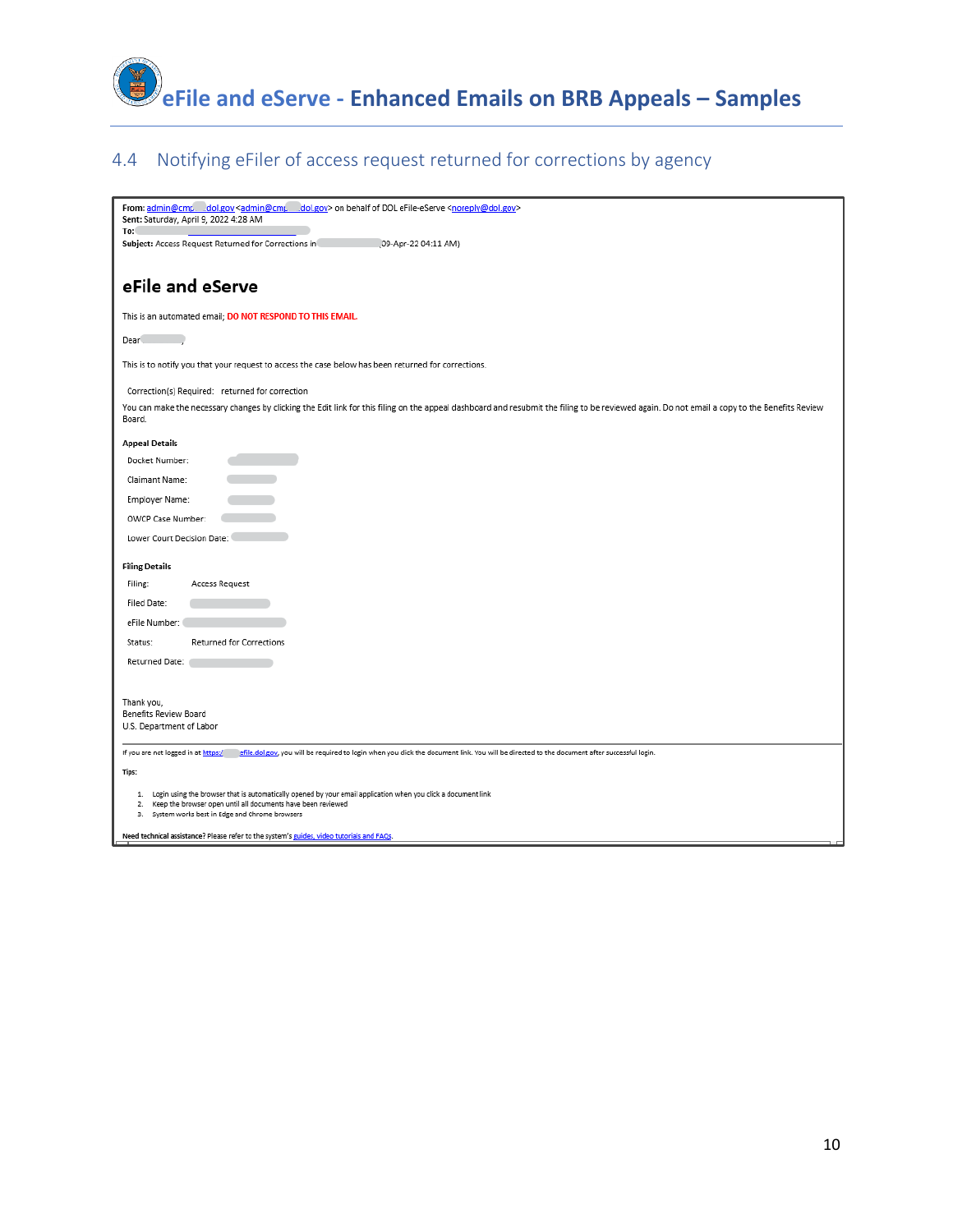

## 4.4 Notifying eFiler of access request returned for corrections by agency

| From: admin@cmp dol.gov <admin@cmp dol.gov=""> on behalf of DOL eFile-eServe <noreply@dol.gov><br/>Sent: Saturday, April 9, 2022 4:28 AM</noreply@dol.gov></admin@cmp>                                  |
|---------------------------------------------------------------------------------------------------------------------------------------------------------------------------------------------------------|
| To:                                                                                                                                                                                                     |
| Subject: Access Request Returned for Corrections in<br>09-Apr-22 04:11 AM)                                                                                                                              |
|                                                                                                                                                                                                         |
| eFile and eServe                                                                                                                                                                                        |
| This is an automated email; DO NOT RESPOND TO THIS EMAIL.                                                                                                                                               |
| Dear                                                                                                                                                                                                    |
| This is to notify you that your request to access the case below has been returned for corrections.                                                                                                     |
| Correction(s) Required: returned for correction                                                                                                                                                         |
| You can make the necessary changes by clicking the Edit link for this filing on the appeal dashboard and resubmit the filing to be reviewed again. Do not email a copy to the Benefits Review<br>Board. |
|                                                                                                                                                                                                         |
| <b>Appeal Details</b>                                                                                                                                                                                   |
| Docket Number:                                                                                                                                                                                          |
| Claimant Name:                                                                                                                                                                                          |
| Employer Name:                                                                                                                                                                                          |
| OWCP Case Number:                                                                                                                                                                                       |
| Lower Court Decision Date:                                                                                                                                                                              |
|                                                                                                                                                                                                         |
| <b>Filing Details</b>                                                                                                                                                                                   |
| Filing:<br>Access Request                                                                                                                                                                               |
| Filed Date:                                                                                                                                                                                             |
| eFile Number:                                                                                                                                                                                           |
| <b>Returned for Corrections</b><br>Status:                                                                                                                                                              |
| Returned Date:                                                                                                                                                                                          |
|                                                                                                                                                                                                         |
| Thank you,                                                                                                                                                                                              |
| Benefits Review Board                                                                                                                                                                                   |
| U.S. Department of Labor                                                                                                                                                                                |
| If you are not logged in at https:/<br>efile.dol.gov, you will be required to login when you click the document link. You will be directed to the document after successful login.                      |
| Tips:                                                                                                                                                                                                   |
| 1. Login using the browser that is automatically opened by your email application when you click a document link                                                                                        |
| 2. Keep the browser open until all documents have been reviewed<br>System works best in Edge and Chrome browsers<br>3.                                                                                  |
|                                                                                                                                                                                                         |
| Need technical assistance? Please refer to the system's guides, video tutorials and FAQs.                                                                                                               |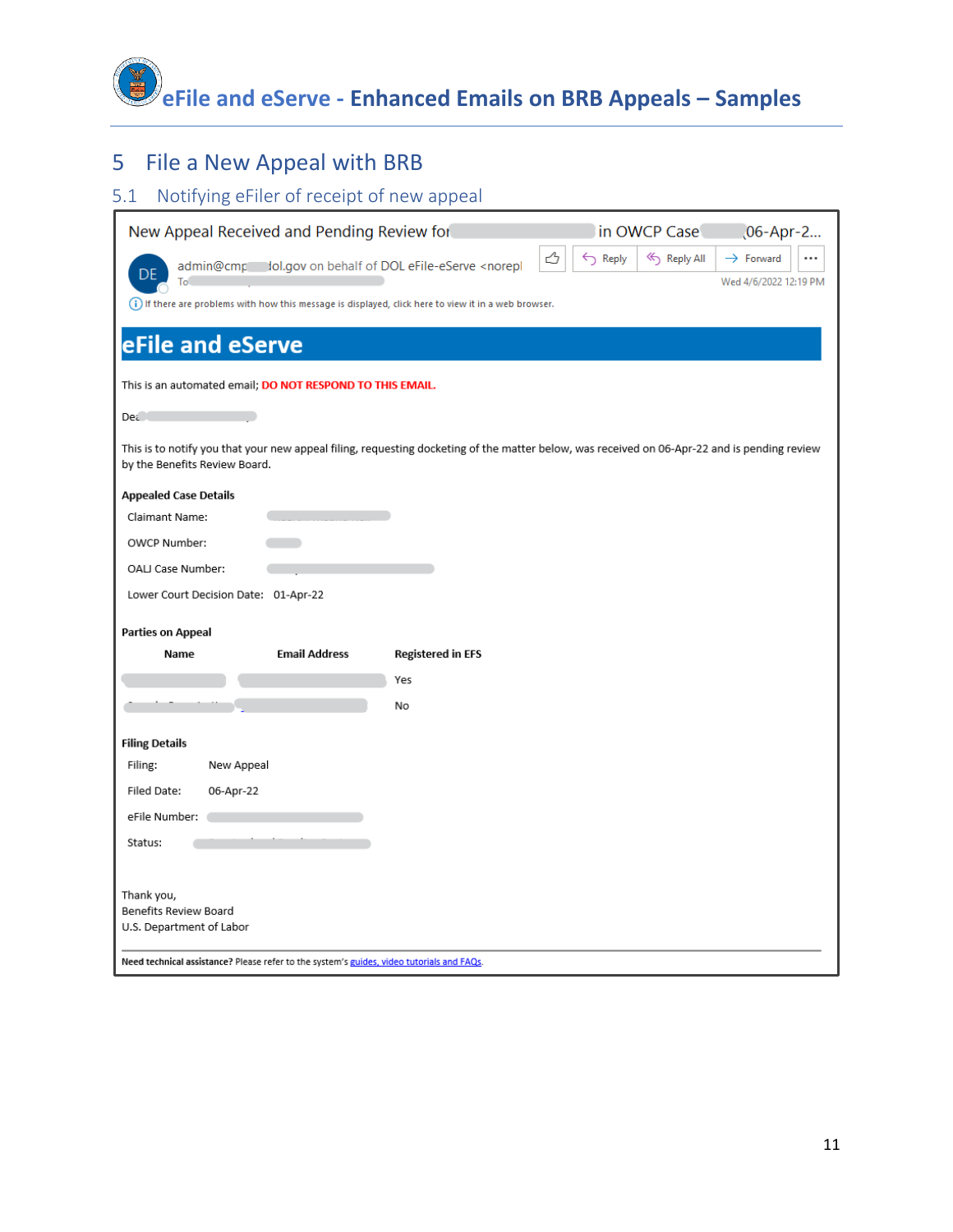

# 5 File a New Appeal with BRB

#### 5.1 Notifying eFiler of receipt of new appeal

| New Appeal Received and Pending Review for                                                                                                                                    | in OWCP Case<br>06-Apr-2                                                                      |
|-------------------------------------------------------------------------------------------------------------------------------------------------------------------------------|-----------------------------------------------------------------------------------------------|
| admin@cmp lol.gov on behalf of DOL eFile-eServe <norepl<br>To</norepl<br>                                                                                                     | ᠿ<br>$\leftarrow$ Reply<br>≪) Reply All<br>$\rightarrow$ Forward<br><br>Wed 4/6/2022 12:19 PM |
| (i) If there are problems with how this message is displayed, click here to view it in a web browser.                                                                         |                                                                                               |
| eFile and eServe                                                                                                                                                              |                                                                                               |
| This is an automated email; DO NOT RESPOND TO THIS EMAIL.                                                                                                                     |                                                                                               |
| De¿                                                                                                                                                                           |                                                                                               |
| This is to notify you that your new appeal filing, requesting docketing of the matter below, was received on 06-Apr-22 and is pending review<br>by the Benefits Review Board. |                                                                                               |
| <b>Appealed Case Details</b>                                                                                                                                                  |                                                                                               |
| Claimant Name:                                                                                                                                                                |                                                                                               |
| OWCP Number:                                                                                                                                                                  |                                                                                               |
| OALJ Case Number:                                                                                                                                                             |                                                                                               |
| Lower Court Decision Date: 01-Apr-22                                                                                                                                          |                                                                                               |
| Parties on Appeal                                                                                                                                                             |                                                                                               |
| <b>Email Address</b><br>Name<br><b>Registered in EFS</b>                                                                                                                      |                                                                                               |
| Yes                                                                                                                                                                           |                                                                                               |
| No                                                                                                                                                                            |                                                                                               |
| <b>Filing Details</b>                                                                                                                                                         |                                                                                               |
| Filing:<br>New Appeal                                                                                                                                                         |                                                                                               |
| Filed Date:<br>06-Apr-22                                                                                                                                                      |                                                                                               |
| eFile Number:                                                                                                                                                                 |                                                                                               |
| Status:                                                                                                                                                                       |                                                                                               |
|                                                                                                                                                                               |                                                                                               |
| Thank you,                                                                                                                                                                    |                                                                                               |
| Benefits Review Board<br>U.S. Department of Labor                                                                                                                             |                                                                                               |
|                                                                                                                                                                               |                                                                                               |
| Need technical assistance? Please refer to the system's guides, video tutorials and FAQs.                                                                                     |                                                                                               |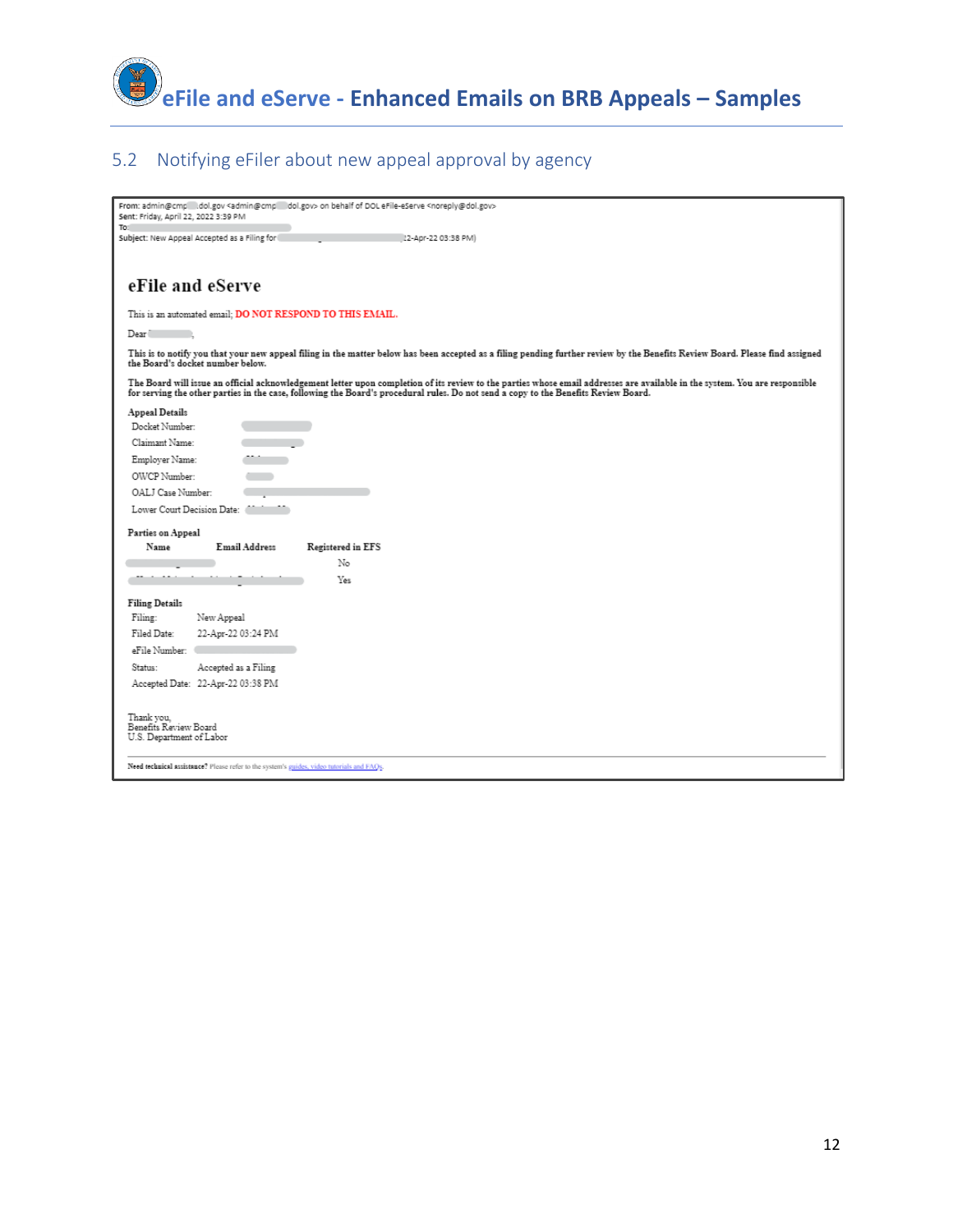

#### 5.2 Notifying eFiler about new appeal approval by agency

| From: admin@cmp dol.gov <admin@cmp dol.gov=""> on behalf of DOL eFile-eServe <noreply@dol.gov><br/>Sent: Friday, April 22, 2022 3:39 PM</noreply@dol.gov></admin@cmp>                                                                                                                                              |
|--------------------------------------------------------------------------------------------------------------------------------------------------------------------------------------------------------------------------------------------------------------------------------------------------------------------|
| To:                                                                                                                                                                                                                                                                                                                |
| Subject: New Appeal Accepted as a Filing for<br>22-Apr-22 03:38 PM)                                                                                                                                                                                                                                                |
|                                                                                                                                                                                                                                                                                                                    |
|                                                                                                                                                                                                                                                                                                                    |
| eFile and eServe                                                                                                                                                                                                                                                                                                   |
| This is an automated email; DO NOT RESPOND TO THIS EMAIL.                                                                                                                                                                                                                                                          |
| Dear <sup>1</sup>                                                                                                                                                                                                                                                                                                  |
| This is to notify you that your new appeal filing in the matter below has been accepted as a filing pending further review by the Benefits Review Board. Please find assigned<br>the Board's docket number below.                                                                                                  |
| The Board will issue an official acknowledgement letter upon completion of its review to the parties whose email addresses are available in the system. You are responsible<br>for serving the other parties in the case, following the Board's procedural rules. Do not send a copy to the Benefits Review Board. |
| Appeal Details                                                                                                                                                                                                                                                                                                     |
| Docket Number:                                                                                                                                                                                                                                                                                                     |
| Claimant Name:                                                                                                                                                                                                                                                                                                     |
| Employer Name:                                                                                                                                                                                                                                                                                                     |
| OWCP Number:                                                                                                                                                                                                                                                                                                       |
| OALJ Case Number:                                                                                                                                                                                                                                                                                                  |
| Lower Court Decision Date:                                                                                                                                                                                                                                                                                         |
| Parties on Appeal                                                                                                                                                                                                                                                                                                  |
| Email Address<br>Registered in EFS<br>Name                                                                                                                                                                                                                                                                         |
| No                                                                                                                                                                                                                                                                                                                 |
| Yes                                                                                                                                                                                                                                                                                                                |
| <b>Filing Details</b>                                                                                                                                                                                                                                                                                              |
| Filing:<br>New Appeal                                                                                                                                                                                                                                                                                              |
| Filed Date:<br>22-Apr-22 03:24 PM                                                                                                                                                                                                                                                                                  |
| eFile Number:                                                                                                                                                                                                                                                                                                      |
| Status:<br>Accepted as a Filing                                                                                                                                                                                                                                                                                    |
| Accepted Date: 22-Apr-22 03:38 PM                                                                                                                                                                                                                                                                                  |
| Thank vou.<br>Benefits Review Board<br>U.S. Department of Labor<br>Need technical assistance? Please refer to the system's guides, video tutorials and FAQs.                                                                                                                                                       |
|                                                                                                                                                                                                                                                                                                                    |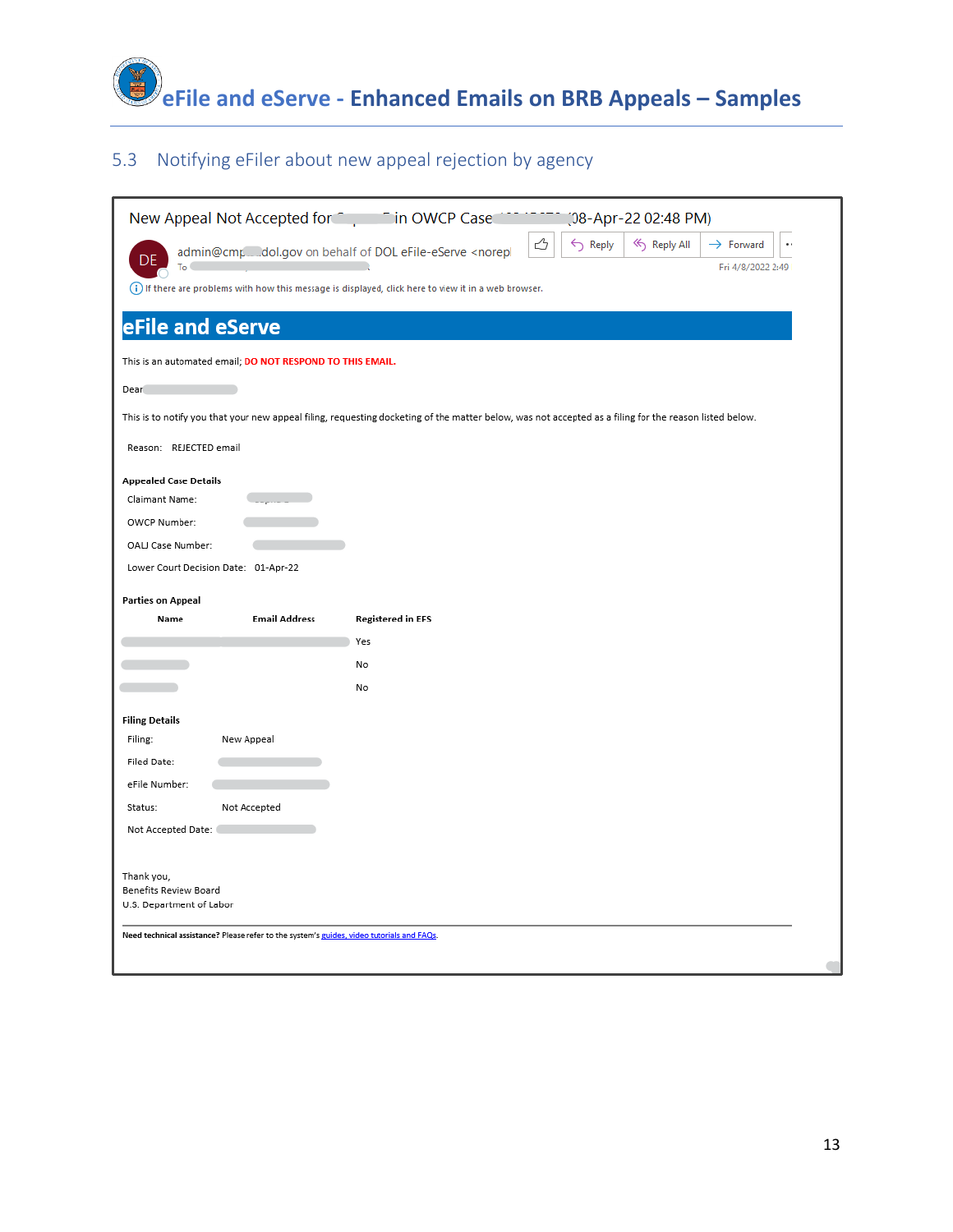

#### 5.3 Notifying eFiler about new appeal rejection by agency

| New Appeal Not Accepted for <b>Cultum</b> T in OWCP Case                                              |                          | (08-Apr-22 02:48 PM)                                                                                                                                   |  |
|-------------------------------------------------------------------------------------------------------|--------------------------|--------------------------------------------------------------------------------------------------------------------------------------------------------|--|
| admin@cmp__dol.gov on behalf of DOL eFile-eServe <norepl<br>DF</norepl<br>                            |                          | ᠿ<br>$\leftarrow$ Reply<br>« Reply All<br>$\rightarrow$ Forward<br>$\bullet$ :                                                                         |  |
| To (                                                                                                  |                          | Fri 4/8/2022 2:49                                                                                                                                      |  |
| (i) If there are problems with how this message is displayed, click here to view it in a web browser. |                          |                                                                                                                                                        |  |
| eFile and eServe                                                                                      |                          |                                                                                                                                                        |  |
| This is an automated email; DO NOT RESPOND TO THIS EMAIL.                                             |                          |                                                                                                                                                        |  |
| Dear                                                                                                  |                          |                                                                                                                                                        |  |
|                                                                                                       |                          | This is to notify you that your new appeal filing, requesting docketing of the matter below, was not accepted as a filing for the reason listed below. |  |
| Reason: REJECTED email                                                                                |                          |                                                                                                                                                        |  |
| <b>Appealed Case Details</b>                                                                          |                          |                                                                                                                                                        |  |
| Claimant Name:                                                                                        |                          |                                                                                                                                                        |  |
| OWCP Number:                                                                                          |                          |                                                                                                                                                        |  |
| OALJ Case Number:                                                                                     |                          |                                                                                                                                                        |  |
| Lower Court Decision Date: 01-Apr-22                                                                  |                          |                                                                                                                                                        |  |
| <b>Parties on Appeal</b>                                                                              |                          |                                                                                                                                                        |  |
| <b>Email Address</b><br>Name                                                                          | <b>Registered in EFS</b> |                                                                                                                                                        |  |
|                                                                                                       | Yes                      |                                                                                                                                                        |  |
|                                                                                                       | No                       |                                                                                                                                                        |  |
|                                                                                                       | No                       |                                                                                                                                                        |  |
| <b>Filing Details</b>                                                                                 |                          |                                                                                                                                                        |  |
| Filing:<br>New Appeal                                                                                 |                          |                                                                                                                                                        |  |
| Filed Date:                                                                                           |                          |                                                                                                                                                        |  |
| eFile Number:                                                                                         |                          |                                                                                                                                                        |  |
| Status:<br>Not Accepted                                                                               |                          |                                                                                                                                                        |  |
| Not Accepted Date:                                                                                    |                          |                                                                                                                                                        |  |
|                                                                                                       |                          |                                                                                                                                                        |  |
| Thank you,                                                                                            |                          |                                                                                                                                                        |  |
| Benefits Review Board                                                                                 |                          |                                                                                                                                                        |  |
| U.S. Department of Labor                                                                              |                          |                                                                                                                                                        |  |
| Need technical assistance? Please refer to the system's guides, video tutorials and FAQs.             |                          |                                                                                                                                                        |  |
|                                                                                                       |                          |                                                                                                                                                        |  |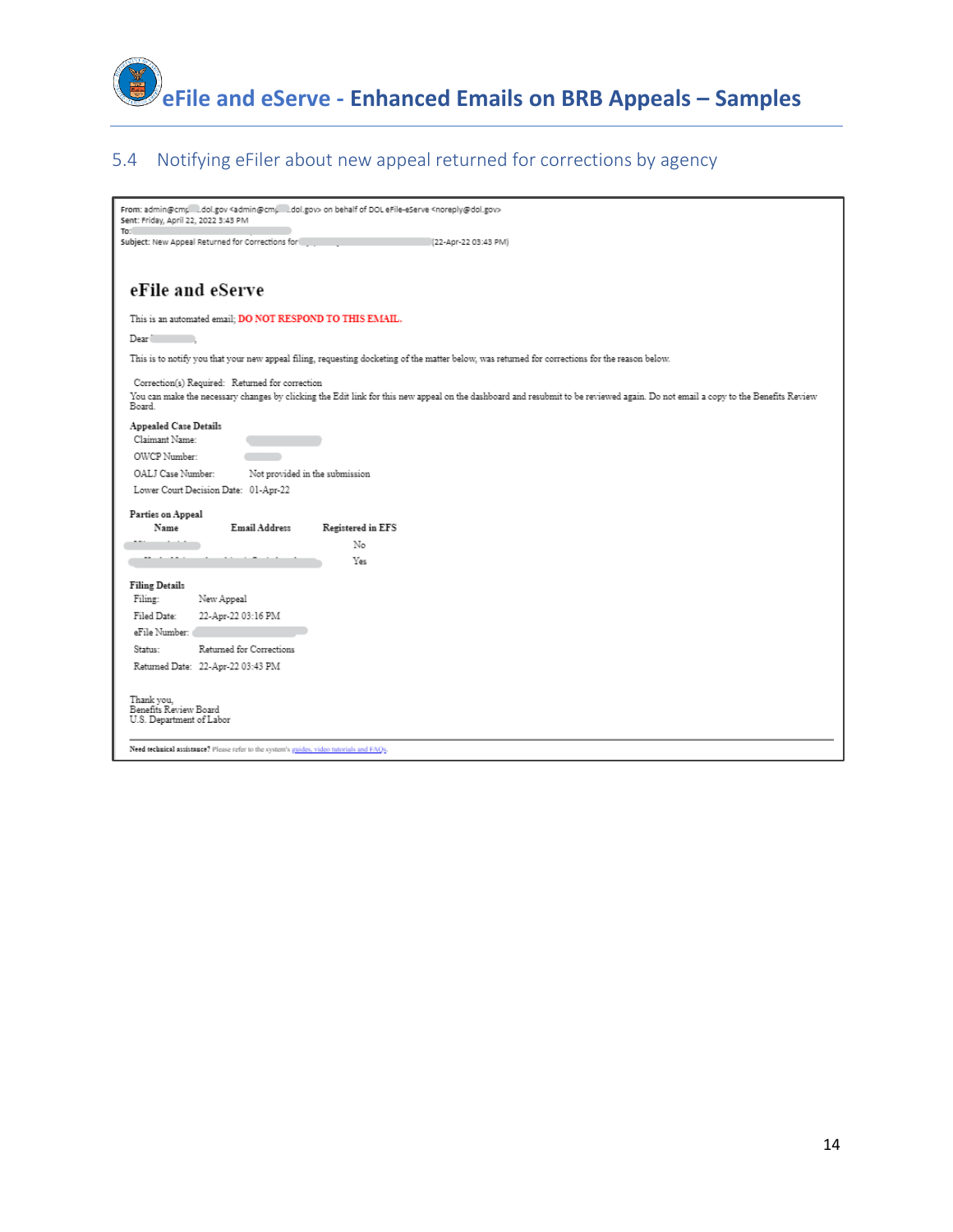

#### 5.4 Notifying eFiler about new appeal returned for corrections by agency

| From: admin@cmp dol.gov <admin@cmp dol.gov=""> on behalf of DOL eFile-eServe <noreply@dol.gov><br/>Sent: Friday, April 22, 2022 3:43 PM<br/>To:</noreply@dol.gov></admin@cmp>                                                                |
|----------------------------------------------------------------------------------------------------------------------------------------------------------------------------------------------------------------------------------------------|
| Subject: New Appeal Returned for Corrections for<br>(22-Apr-22 03:43 PM)                                                                                                                                                                     |
| eFile and eServe                                                                                                                                                                                                                             |
| This is an automated email; DO NOT RESPOND TO THIS EMAIL.                                                                                                                                                                                    |
| Dear                                                                                                                                                                                                                                         |
| This is to notify you that your new appeal filing, requesting docketing of the matter below, was returned for corrections for the reason below.                                                                                              |
| Correction(s) Required: Returned for correction<br>You can make the necessary changes by clicking the Edit link for this new appeal on the dashboard and resubmit to be reviewed again. Do not email a copy to the Benefits Review<br>Board. |
| Appealed Case Details<br>Claimant Name:                                                                                                                                                                                                      |
| OWCP Number:                                                                                                                                                                                                                                 |
| Not provided in the submission<br>OALJ Case Number:                                                                                                                                                                                          |
| Lower Court Decision Date: 01-Apr-22                                                                                                                                                                                                         |
| Parties on Appeal                                                                                                                                                                                                                            |
| Name<br>Email Address<br>Registered in EFS                                                                                                                                                                                                   |
| No                                                                                                                                                                                                                                           |
| Yes                                                                                                                                                                                                                                          |
| <b>Filing Details</b>                                                                                                                                                                                                                        |
| Filing:<br>New Appeal                                                                                                                                                                                                                        |
| Filed Date:<br>22-Apr-22 03:16 PM<br>eFile Number:                                                                                                                                                                                           |
| Returned for Corrections<br>Status:                                                                                                                                                                                                          |
| Returned Date: 22-Apr-22 03:43 PM                                                                                                                                                                                                            |
|                                                                                                                                                                                                                                              |
| Thank vou.<br>Benefits Review Board<br>U.S. Department of Labor                                                                                                                                                                              |
| Need technical assistance? Please refer to the system's guides, video tutorials and FAQs.                                                                                                                                                    |